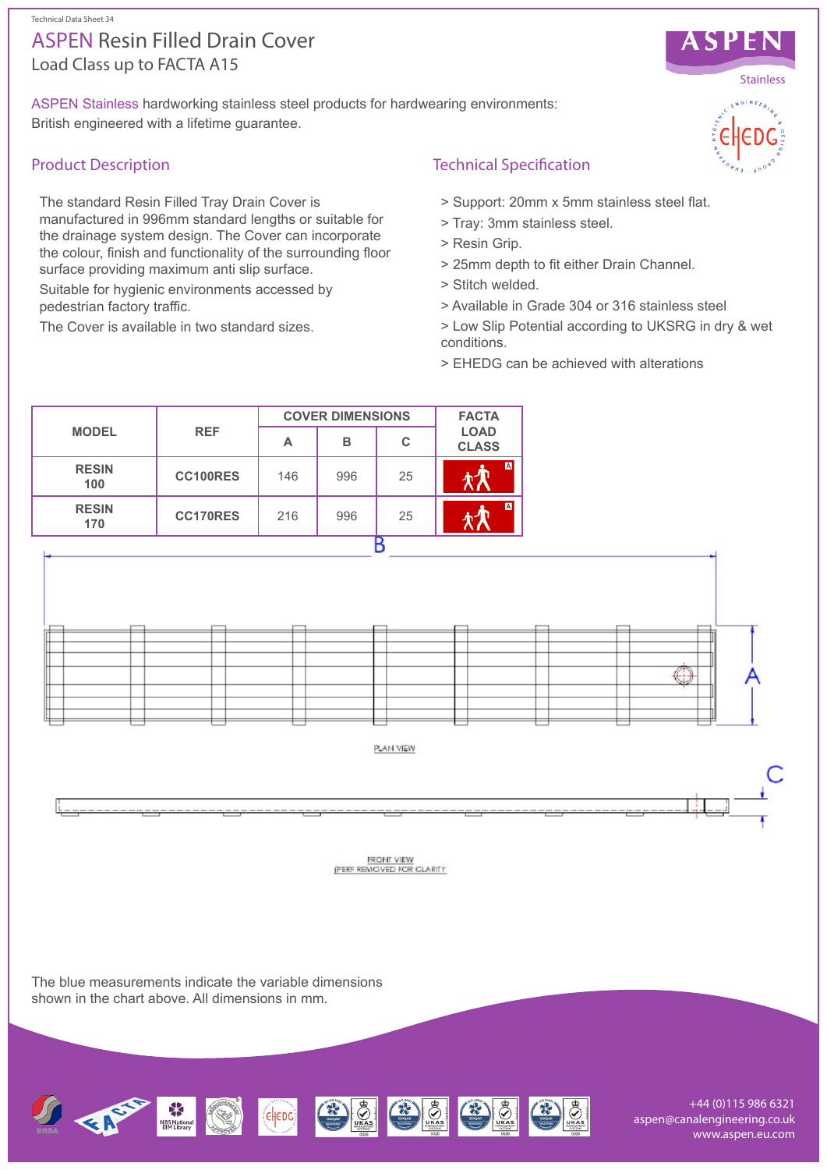# Load Class up to FACTA A15 ASPEN Resin Filled Drain Cover

ASPEN Stainless hardworking stainless steel products for hardwearing environments: British engineered with a lifetime guarantee.

# Product Description

The standard Resin Filled Tray Drain Cover is manufactured in 996mm standard lengths or suitable for the drainage system design. The Cover can incorporate the colour, finish and functionality of the surrounding floor surface providing maximum anti slip surface.

Suitable for hygienic environments accessed by pedestrian factory traffic.

The Cover is available in two standard sizes.

## Technical Specification

- > Support: 20mm x 5mm stainless steel flat.
- > Tray: 3mm stainless steel.
- > Resin Grip.
- > 25mm depth to fit either Drain Channel.
- > Stitch welded.
- > Available in Grade 304 or 316 stainless steel
- > Low Slip Potential according to UKSRG in dry & wet conditions.
- > EHEDG can be achieved with alterations